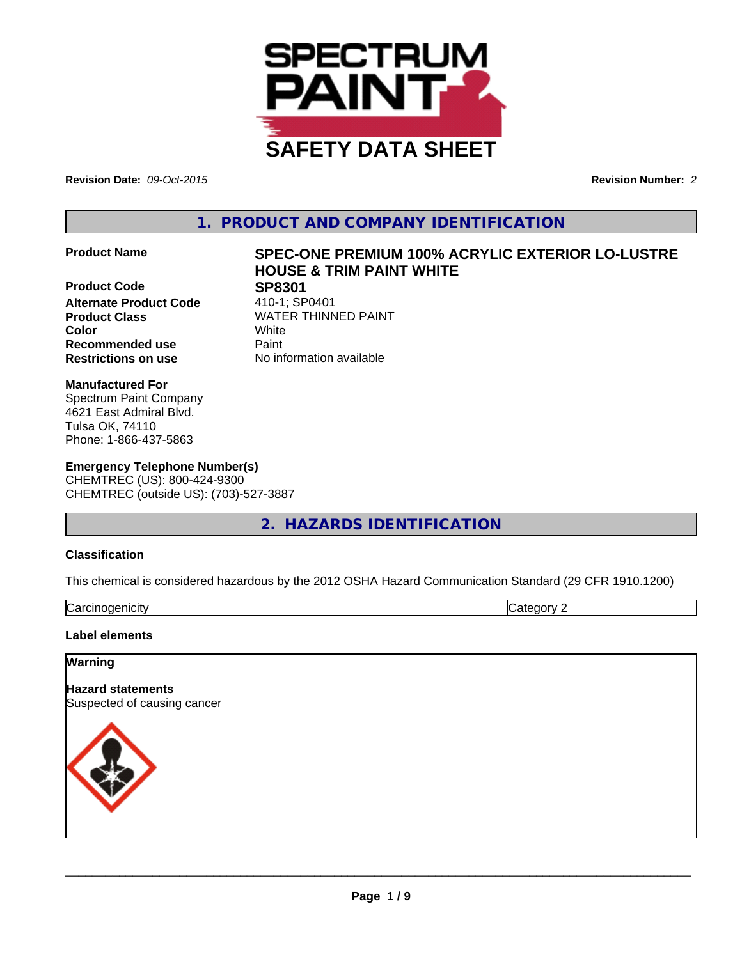

**Revision Date:** *09-Oct-2015* **Revision Number:** *2*

**1. PRODUCT AND COMPANY IDENTIFICATION**

**Product Code**<br> **Alternate Product Code** 410-1; SP0401 **Alternate Product Code Product Class WATER THINNED PAINT Recommended use Paint Restrictions on use** No information available

# **Product Name SPEC-ONE PREMIUM 100% ACRYLIC EXTERIOR LO-LUSTRE HOUSE & TRIM PAINT WHITE**

**Color** White

**Manufactured For** Spectrum Paint Company 4621 East Admiral Blvd. Tulsa OK, 74110 Phone: 1-866-437-5863

#### **Emergency Telephone Number(s)** CHEMTREC (US): 800-424-9300 CHEMTREC (outside US): (703)-527-3887

## **2. HAZARDS IDENTIFICATION**

### **Classification**

This chemical is considered hazardous by the 2012 OSHA Hazard Communication Standard (29 CFR 1910.1200)

| ~<br>Carcinc<br>oaenicitv<br>. <del>. .</del> | ----<br>ำr\.<br>`16<br> |
|-----------------------------------------------|-------------------------|

**Label elements** 

### **Warning**

**Hazard statements** Suspected of causing cancer

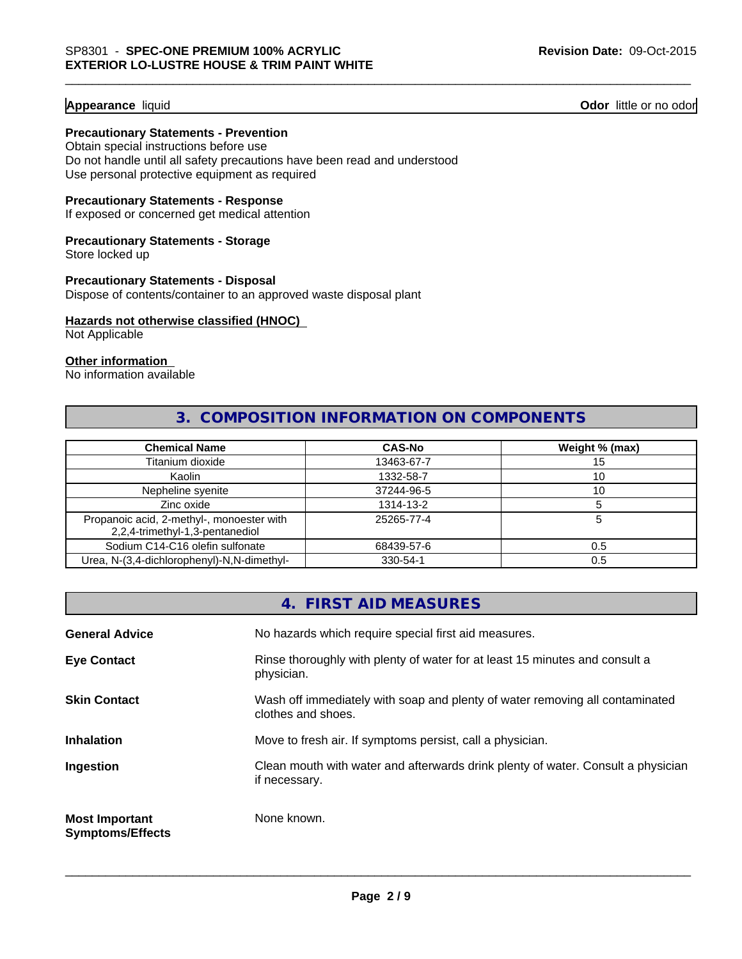#### **Appearance** liquid **Odor** little or no odor

#### **Precautionary Statements - Prevention**

Obtain special instructions before use Do not handle until all safety precautions have been read and understood Use personal protective equipment as required

#### **Precautionary Statements - Response**

If exposed or concerned get medical attention

#### **Precautionary Statements - Storage**

Store locked up

#### **Precautionary Statements - Disposal**

Dispose of contents/container to an approved waste disposal plant

#### **Hazards not otherwise classified (HNOC)**

Not Applicable

#### **Other information**

No information available

## **3. COMPOSITION INFORMATION ON COMPONENTS**

| <b>Chemical Name</b>                                                         | <b>CAS-No</b> | Weight % (max) |
|------------------------------------------------------------------------------|---------------|----------------|
| Titanium dioxide                                                             | 13463-67-7    | 15             |
| Kaolin                                                                       | 1332-58-7     | 10             |
| Nepheline syenite                                                            | 37244-96-5    | 10             |
| Zinc oxide                                                                   | 1314-13-2     |                |
| Propanoic acid, 2-methyl-, monoester with<br>2,2,4-trimethyl-1,3-pentanediol | 25265-77-4    |                |
| Sodium C14-C16 olefin sulfonate                                              | 68439-57-6    | 0.5            |
| Urea, N-(3,4-dichlorophenyl)-N,N-dimethyl-                                   | 330-54-1      | 0.5            |

|                                                  | 4. FIRST AID MEASURES                                                                              |
|--------------------------------------------------|----------------------------------------------------------------------------------------------------|
| <b>General Advice</b>                            | No hazards which require special first aid measures.                                               |
| <b>Eye Contact</b>                               | Rinse thoroughly with plenty of water for at least 15 minutes and consult a<br>physician.          |
| <b>Skin Contact</b>                              | Wash off immediately with soap and plenty of water removing all contaminated<br>clothes and shoes. |
| <b>Inhalation</b>                                | Move to fresh air. If symptoms persist, call a physician.                                          |
| Ingestion                                        | Clean mouth with water and afterwards drink plenty of water. Consult a physician<br>if necessary.  |
| <b>Most Important</b><br><b>Symptoms/Effects</b> | None known.                                                                                        |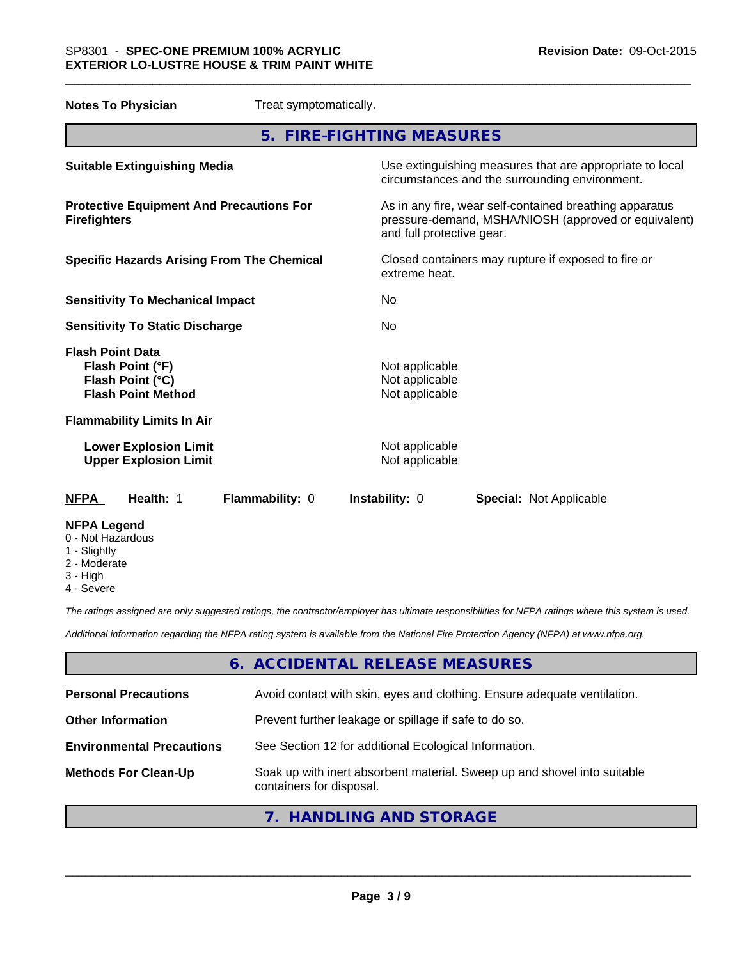| <b>Notes To Physician</b>                                                                    | Treat symptomatically. |                                                    |                                                                                                                 |
|----------------------------------------------------------------------------------------------|------------------------|----------------------------------------------------|-----------------------------------------------------------------------------------------------------------------|
|                                                                                              |                        | 5. FIRE-FIGHTING MEASURES                          |                                                                                                                 |
| <b>Suitable Extinguishing Media</b>                                                          |                        |                                                    | Use extinguishing measures that are appropriate to local<br>circumstances and the surrounding environment.      |
| <b>Protective Equipment And Precautions For</b><br><b>Firefighters</b>                       |                        | and full protective gear.                          | As in any fire, wear self-contained breathing apparatus<br>pressure-demand, MSHA/NIOSH (approved or equivalent) |
| <b>Specific Hazards Arising From The Chemical</b>                                            |                        | extreme heat.                                      | Closed containers may rupture if exposed to fire or                                                             |
| <b>Sensitivity To Mechanical Impact</b>                                                      |                        | No                                                 |                                                                                                                 |
| <b>Sensitivity To Static Discharge</b>                                                       |                        | No                                                 |                                                                                                                 |
| <b>Flash Point Data</b><br>Flash Point (°F)<br>Flash Point (°C)<br><b>Flash Point Method</b> |                        | Not applicable<br>Not applicable<br>Not applicable |                                                                                                                 |
| <b>Flammability Limits In Air</b>                                                            |                        |                                                    |                                                                                                                 |
| <b>Lower Explosion Limit</b><br><b>Upper Explosion Limit</b>                                 |                        | Not applicable<br>Not applicable                   |                                                                                                                 |
| <b>NFPA</b><br>Health: 1                                                                     | Flammability: 0        | <b>Instability: 0</b>                              | <b>Special: Not Applicable</b>                                                                                  |
| <b>NFPA Legend</b>                                                                           |                        |                                                    |                                                                                                                 |

\_\_\_\_\_\_\_\_\_\_\_\_\_\_\_\_\_\_\_\_\_\_\_\_\_\_\_\_\_\_\_\_\_\_\_\_\_\_\_\_\_\_\_\_\_\_\_\_\_\_\_\_\_\_\_\_\_\_\_\_\_\_\_\_\_\_\_\_\_\_\_\_\_\_\_\_\_\_\_\_\_\_\_\_\_\_\_\_\_\_\_\_\_

- 0 Not Hazardous
- 1 Slightly
- 2 Moderate
- 3 High
- 4 Severe

*The ratings assigned are only suggested ratings, the contractor/employer has ultimate responsibilities for NFPA ratings where this system is used.*

*Additional information regarding the NFPA rating system is available from the National Fire Protection Agency (NFPA) at www.nfpa.org.*

## **6. ACCIDENTAL RELEASE MEASURES**

| <b>Personal Precautions</b>      | Avoid contact with skin, eyes and clothing. Ensure adequate ventilation.                             |
|----------------------------------|------------------------------------------------------------------------------------------------------|
| <b>Other Information</b>         | Prevent further leakage or spillage if safe to do so.                                                |
| <b>Environmental Precautions</b> | See Section 12 for additional Ecological Information.                                                |
| <b>Methods For Clean-Up</b>      | Soak up with inert absorbent material. Sweep up and shovel into suitable<br>containers for disposal. |
|                                  |                                                                                                      |

## **7. HANDLING AND STORAGE**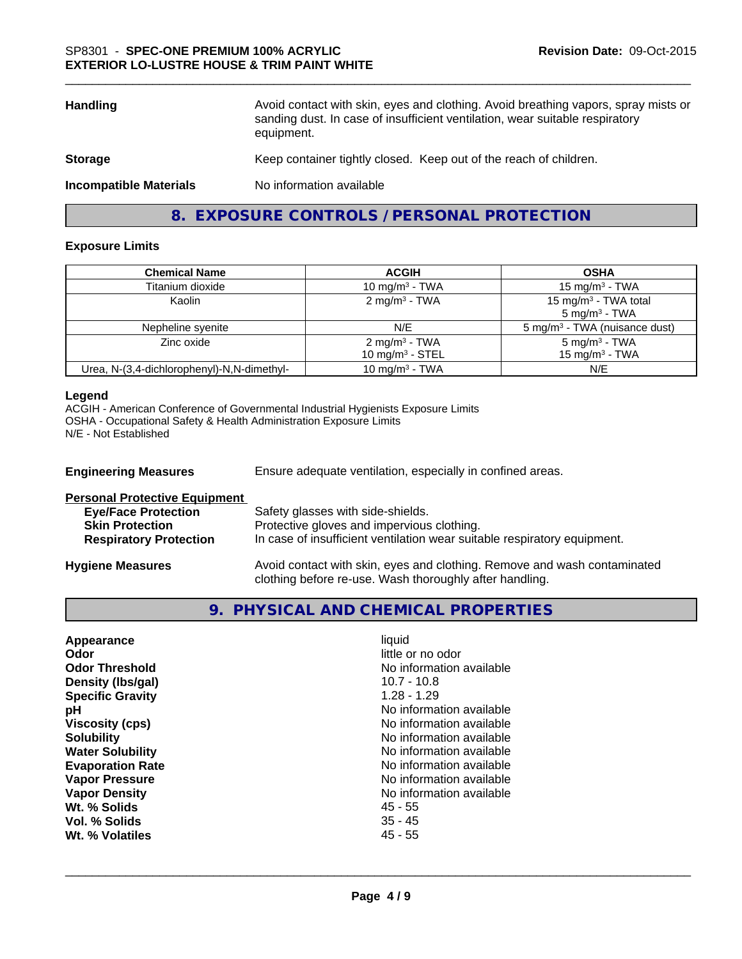| <b>Handling</b>               | Avoid contact with skin, eyes and clothing. Avoid breathing vapors, spray mists or<br>sanding dust. In case of insufficient ventilation, wear suitable respiratory<br>equipment. |
|-------------------------------|----------------------------------------------------------------------------------------------------------------------------------------------------------------------------------|
| <b>Storage</b>                | Keep container tightly closed. Keep out of the reach of children.                                                                                                                |
| <b>Incompatible Materials</b> | No information available                                                                                                                                                         |
|                               |                                                                                                                                                                                  |

**8. EXPOSURE CONTROLS / PERSONAL PROTECTION**

#### **Exposure Limits**

| <b>Chemical Name</b>                       | <b>ACGIH</b>                                    | <b>OSHA</b>                                                  |
|--------------------------------------------|-------------------------------------------------|--------------------------------------------------------------|
| Titanium dioxide                           | 10 mg/m $3$ - TWA                               | 15 mg/m $3$ - TWA                                            |
| Kaolin                                     | $2 \text{ mg/m}^3$ - TWA                        | 15 mg/m <sup>3</sup> - TWA total<br>$5 \text{ mg/m}^3$ - TWA |
| Nepheline syenite                          | N/E                                             | 5 mg/m <sup>3</sup> - TWA (nuisance dust)                    |
| Zinc oxide                                 | 2 mg/m <sup>3</sup> - TWA<br>10 mg/m $3 -$ STEL | $5$ mg/m <sup>3</sup> - TWA<br>15 mg/m $3$ - TWA             |
| Urea, N-(3,4-dichlorophenyl)-N,N-dimethyl- | 10 mg/m $3$ - TWA                               | N/E                                                          |

#### **Legend**

ACGIH - American Conference of Governmental Industrial Hygienists Exposure Limits OSHA - Occupational Safety & Health Administration Exposure Limits N/E - Not Established

| <b>Engineering Measures</b>          | Ensure adequate ventilation, especially in confined areas.                                                                          |
|--------------------------------------|-------------------------------------------------------------------------------------------------------------------------------------|
| <b>Personal Protective Equipment</b> |                                                                                                                                     |
| <b>Eye/Face Protection</b>           | Safety glasses with side-shields.                                                                                                   |
| <b>Skin Protection</b>               | Protective gloves and impervious clothing.                                                                                          |
| <b>Respiratory Protection</b>        | In case of insufficient ventilation wear suitable respiratory equipment.                                                            |
| <b>Hygiene Measures</b>              | Avoid contact with skin, eyes and clothing. Remove and wash contaminated<br>clothing before re-use. Wash thoroughly after handling. |

## **9. PHYSICAL AND CHEMICAL PROPERTIES**

| Appearance              | liauid                   |
|-------------------------|--------------------------|
| Odor                    | little or no odor        |
| <b>Odor Threshold</b>   | No information available |
| Density (Ibs/gal)       | $10.7 - 10.8$            |
| <b>Specific Gravity</b> | $1.28 - 1.29$            |
| рH                      | No information available |
| <b>Viscosity (cps)</b>  | No information available |
| <b>Solubility</b>       | No information available |
| <b>Water Solubility</b> | No information available |
| <b>Evaporation Rate</b> | No information available |
| <b>Vapor Pressure</b>   | No information available |
| <b>Vapor Density</b>    | No information available |
| Wt. % Solids            | 45 - 55                  |
| Vol. % Solids           | $35 - 45$                |
| Wt. % Volatiles         | 45 - 55                  |
|                         |                          |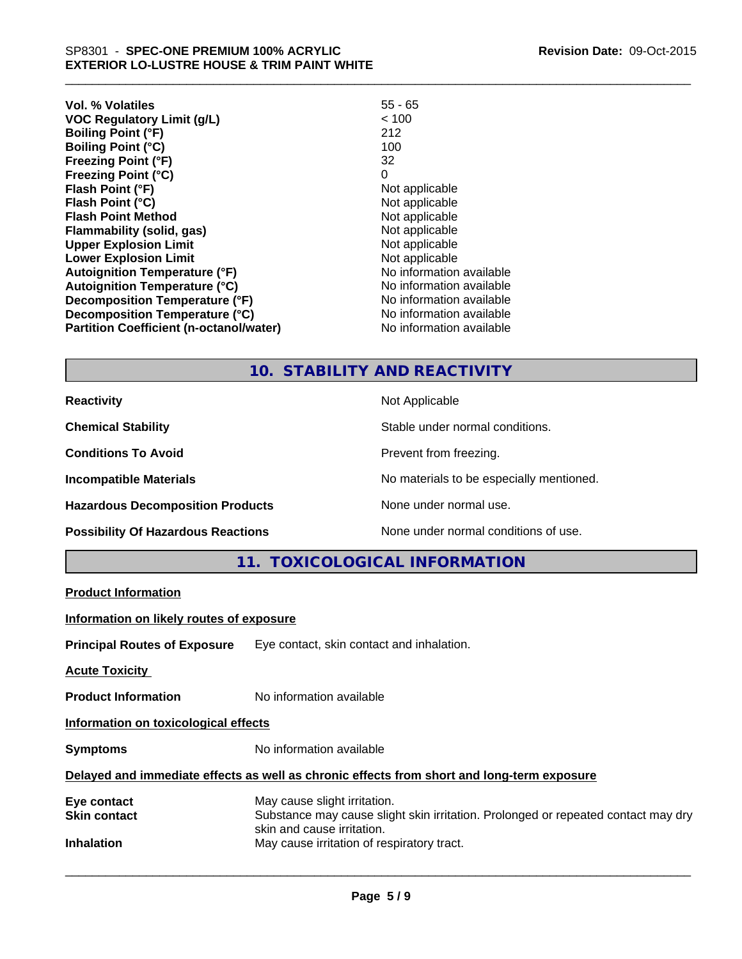| Revision Date: 09-Oct-2015 |  |
|----------------------------|--|
|----------------------------|--|

| Vol. % Volatiles                               | $55 - 65$                |
|------------------------------------------------|--------------------------|
| <b>VOC Regulatory Limit (g/L)</b>              | < 100                    |
| <b>Boiling Point (°F)</b>                      | 212                      |
| <b>Boiling Point (°C)</b>                      | 100                      |
| <b>Freezing Point (°F)</b>                     | 32                       |
| <b>Freezing Point (°C)</b>                     | 0                        |
| Flash Point (°F)                               | Not applicable           |
| Flash Point (°C)                               | Not applicable           |
| <b>Flash Point Method</b>                      | Not applicable           |
| <b>Flammability (solid, gas)</b>               | Not applicable           |
| <b>Upper Explosion Limit</b>                   | Not applicable           |
| <b>Lower Explosion Limit</b>                   | Not applicable           |
| <b>Autoignition Temperature (°F)</b>           | No information available |
| <b>Autoignition Temperature (°C)</b>           | No information available |
| Decomposition Temperature (°F)                 | No information available |
| Decomposition Temperature (°C)                 | No information available |
| <b>Partition Coefficient (n-octanol/water)</b> | No information available |

## **10. STABILITY AND REACTIVITY**

Hazardous Decomposition Products **None under normal use**.

**Reactivity** Not Applicable

**Chemical Stability** Stable under normal conditions.

**Conditions To Avoid Prevent from freezing.** 

\_\_\_\_\_\_\_\_\_\_\_\_\_\_\_\_\_\_\_\_\_\_\_\_\_\_\_\_\_\_\_\_\_\_\_\_\_\_\_\_\_\_\_\_\_\_\_\_\_\_\_\_\_\_\_\_\_\_\_\_\_\_\_\_\_\_\_\_\_\_\_\_\_\_\_\_\_\_\_\_\_\_\_\_\_\_\_\_\_\_\_\_\_

**Incompatible Materials Incompatible Materials No materials to be especially mentioned.** 

**Possibility Of Hazardous Reactions** None under normal conditions of use.

**11. TOXICOLOGICAL INFORMATION**

**Product Information**

**Information on likely routes of exposure**

**Principal Routes of Exposure** Eye contact, skin contact and inhalation.

**Acute Toxicity** 

**Product Information** No information available

**Information on toxicological effects**

**Symptoms** No information available

#### **Delayed and immediate effects as well as chronic effects from short and long-term exposure**

| May cause slight irritation.                                                      |
|-----------------------------------------------------------------------------------|
| Substance may cause slight skin irritation. Prolonged or repeated contact may dry |
| skin and cause irritation.                                                        |
| May cause irritation of respiratory tract.                                        |
|                                                                                   |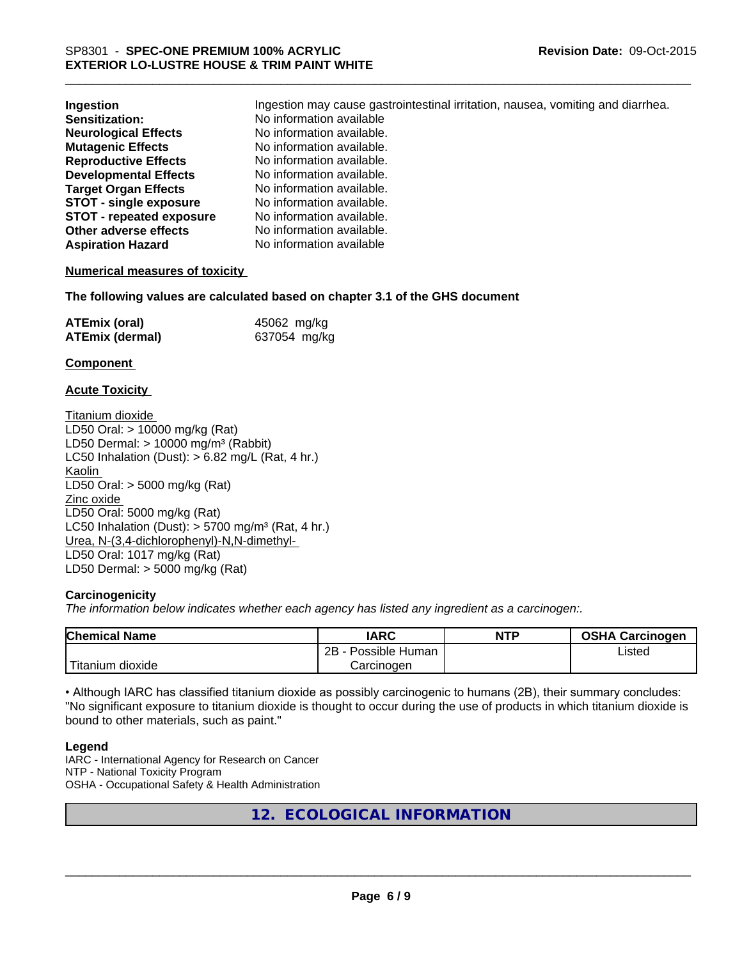| Ingestion                       | Ingestion may cause gastrointestinal irritation, nausea, vomiting and diarrhea. |  |  |  |
|---------------------------------|---------------------------------------------------------------------------------|--|--|--|
| Sensitization:                  | No information available                                                        |  |  |  |
| <b>Neurological Effects</b>     | No information available.                                                       |  |  |  |
| <b>Mutagenic Effects</b>        | No information available.                                                       |  |  |  |
| <b>Reproductive Effects</b>     | No information available.                                                       |  |  |  |
| <b>Developmental Effects</b>    | No information available.                                                       |  |  |  |
| <b>Target Organ Effects</b>     | No information available.                                                       |  |  |  |
| <b>STOT - single exposure</b>   | No information available.                                                       |  |  |  |
| <b>STOT - repeated exposure</b> | No information available.                                                       |  |  |  |
| Other adverse effects           | No information available.                                                       |  |  |  |
| <b>Aspiration Hazard</b>        | No information available                                                        |  |  |  |

\_\_\_\_\_\_\_\_\_\_\_\_\_\_\_\_\_\_\_\_\_\_\_\_\_\_\_\_\_\_\_\_\_\_\_\_\_\_\_\_\_\_\_\_\_\_\_\_\_\_\_\_\_\_\_\_\_\_\_\_\_\_\_\_\_\_\_\_\_\_\_\_\_\_\_\_\_\_\_\_\_\_\_\_\_\_\_\_\_\_\_\_\_

#### **Numerical measures of toxicity**

**The following values are calculated based on chapter 3.1 of the GHS document**

| <b>ATEmix (oral)</b>   | 45062 mg/kg  |
|------------------------|--------------|
| <b>ATEmix (dermal)</b> | 637054 mg/kg |

#### **Component**

#### **Acute Toxicity**

Titanium dioxide LD50 Oral: > 10000 mg/kg (Rat) LD50 Dermal:  $> 10000$  mg/m<sup>3</sup> (Rabbit) LC50 Inhalation (Dust):  $> 6.82$  mg/L (Rat, 4 hr.) Kaolin LD50 Oral: > 5000 mg/kg (Rat) Zinc oxide LD50 Oral: 5000 mg/kg (Rat) LC50 Inhalation (Dust):  $> 5700$  mg/m<sup>3</sup> (Rat, 4 hr.) Urea, N-(3,4-dichlorophenyl)-N,N-dimethyl-LD50 Oral: 1017 mg/kg (Rat) LD50 Dermal: > 5000 mg/kg (Rat)

#### **Carcinogenicity**

*The information below indicates whether each agency has listed any ingredient as a carcinogen:.*

| <b>Chemical Name</b>                                                                                                                      | <b>IARC</b>          | <b>NTP</b> | <b>OSHA Carcinogen</b> |
|-------------------------------------------------------------------------------------------------------------------------------------------|----------------------|------------|------------------------|
|                                                                                                                                           | 2B<br>Possible Human |            | Listed                 |
| <b>The Contract of the Contract of the Contract of the Contract of the Contract of the Contract of the Contract o</b><br>Fitanium dioxide | Carcinogen           |            |                        |

• Although IARC has classified titanium dioxide as possibly carcinogenic to humans (2B), their summary concludes: "No significant exposure to titanium dioxide is thought to occur during the use of products in which titanium dioxide is bound to other materials, such as paint."

#### **Legend**

IARC - International Agency for Research on Cancer NTP - National Toxicity Program OSHA - Occupational Safety & Health Administration

## **12. ECOLOGICAL INFORMATION**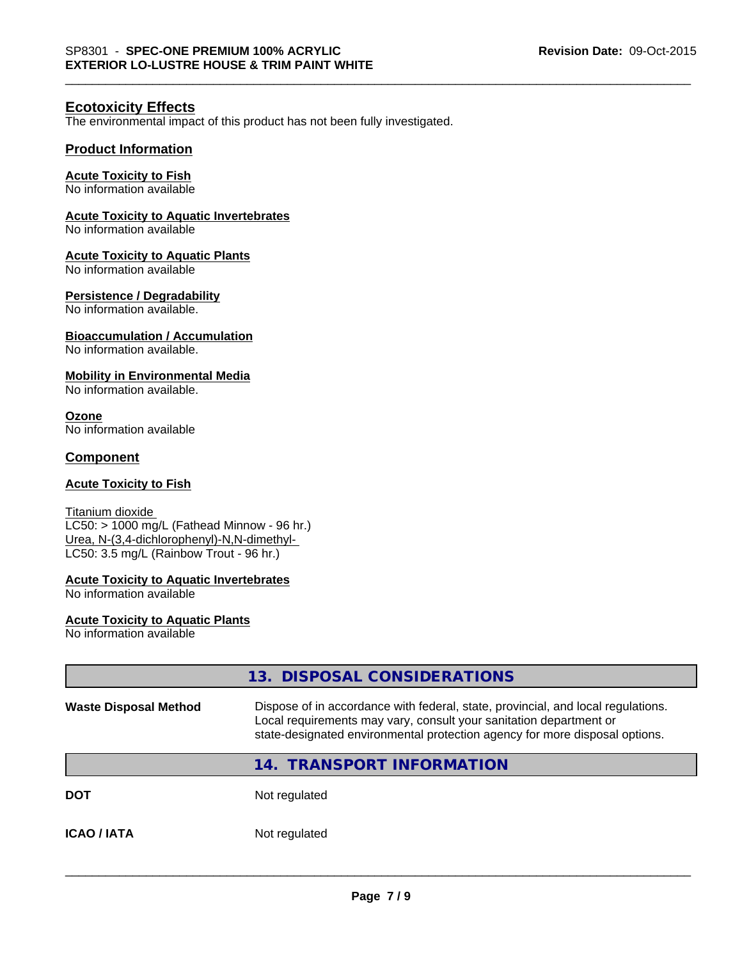### **Ecotoxicity Effects**

The environmental impact of this product has not been fully investigated.

#### **Product Information**

#### **Acute Toxicity to Fish**

No information available

## **Acute Toxicity to Aquatic Invertebrates**

No information available

#### **Acute Toxicity to Aquatic Plants**

No information available

#### **Persistence / Degradability**

No information available.

#### **Bioaccumulation / Accumulation**

No information available.

#### **Mobility in Environmental Media**

No information available.

**Ozone** No information available

#### **Component**

#### **Acute Toxicity to Fish**

Titanium dioxide LC50: > 1000 mg/L (Fathead Minnow - 96 hr.) Urea, N-(3,4-dichlorophenyl)-N,N-dimethyl-LC50: 3.5 mg/L (Rainbow Trout - 96 hr.)

## **Acute Toxicity to Aquatic Invertebrates**

No information available

#### **Acute Toxicity to Aquatic Plants**

No information available

|                              | 13. DISPOSAL CONSIDERATIONS                                                                                                                                                                                                           |
|------------------------------|---------------------------------------------------------------------------------------------------------------------------------------------------------------------------------------------------------------------------------------|
| <b>Waste Disposal Method</b> | Dispose of in accordance with federal, state, provincial, and local regulations.<br>Local requirements may vary, consult your sanitation department or<br>state-designated environmental protection agency for more disposal options. |
|                              | 14. TRANSPORT INFORMATION                                                                                                                                                                                                             |
| <b>DOT</b>                   | Not regulated                                                                                                                                                                                                                         |
| <b>ICAO/IATA</b>             | Not regulated                                                                                                                                                                                                                         |
|                              |                                                                                                                                                                                                                                       |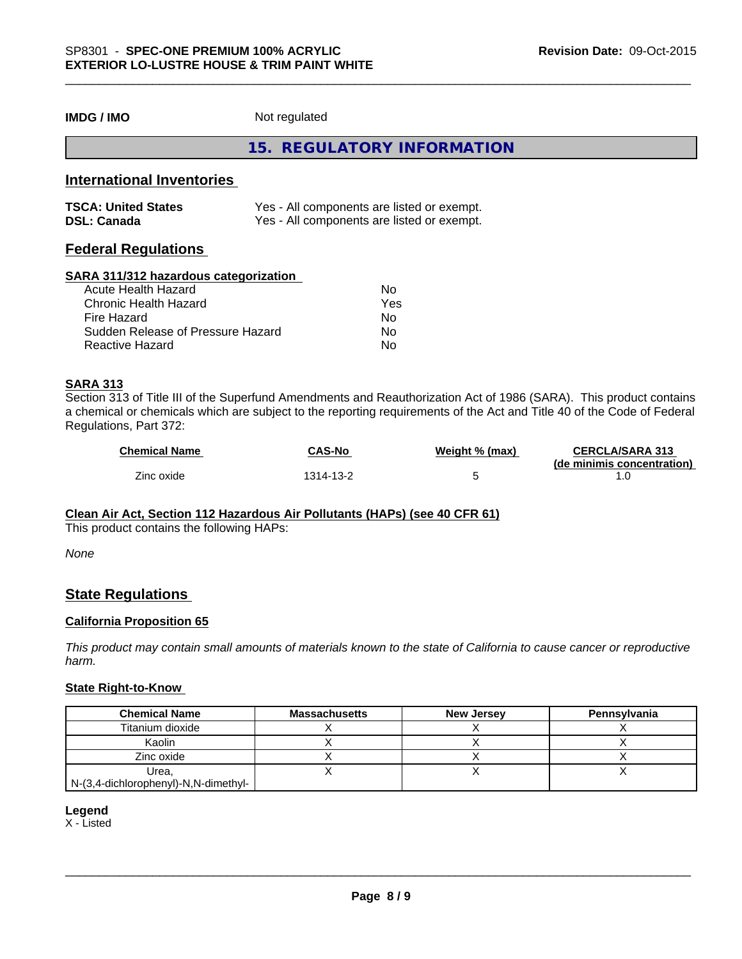**IMDG / IMO** Not regulated

## **15. REGULATORY INFORMATION**

## **International Inventories**

| <b>TSCA: United States</b> | Yes - All components are listed or exempt. |
|----------------------------|--------------------------------------------|
| <b>DSL: Canada</b>         | Yes - All components are listed or exempt. |

## **Federal Regulations**

#### **SARA 311/312 hazardous categorization**

| Acute Health Hazard               | Nο  |
|-----------------------------------|-----|
| Chronic Health Hazard             | Yes |
| Fire Hazard                       | Nο  |
| Sudden Release of Pressure Hazard | N٥  |
| Reactive Hazard                   | N٥  |

#### **SARA 313**

Section 313 of Title III of the Superfund Amendments and Reauthorization Act of 1986 (SARA). This product contains a chemical or chemicals which are subject to the reporting requirements of the Act and Title 40 of the Code of Federal Regulations, Part 372:

| <b>Chemical Name</b> | <b>CAS-No</b>  | Weight % (max) | <b>CERCLA/SARA 313</b>     |
|----------------------|----------------|----------------|----------------------------|
|                      |                |                | (de minimis concentration) |
| Zinc oxide           | $314 - 13 - 2$ |                |                            |

#### **Clean Air Act, Section 112 Hazardous Air Pollutants (HAPs) (see 40 CFR 61)**

This product contains the following HAPs:

*None*

### **State Regulations**

#### **California Proposition 65**

*This product may contain small amounts of materials known to the state of California to cause cancer or reproductive harm.*

#### **State Right-to-Know**

| <b>Chemical Name</b>                 | <b>Massachusetts</b> | <b>New Jersey</b> | <b>Pennsylvania</b> |
|--------------------------------------|----------------------|-------------------|---------------------|
| Titanium dioxide                     |                      |                   |                     |
| Kaolin                               |                      |                   |                     |
| Zinc oxide                           |                      |                   |                     |
| Urea.                                |                      |                   |                     |
| N-(3,4-dichlorophenyl)-N,N-dimethyl- |                      |                   |                     |

#### **Legend**

X - Listed